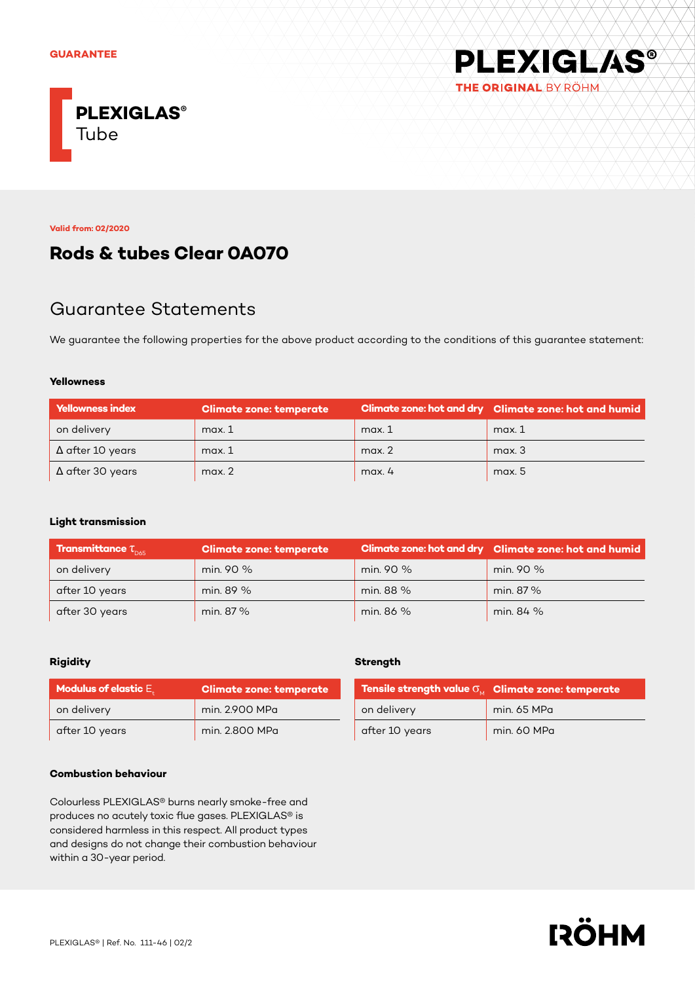

**Valid from: 02/2020**

## **Rods & tubes Clear 0A070**

## Guarantee Statements

We guarantee the following properties for the above product according to the conditions of this guarantee statement:

#### **Yellowness**

| <b>Yellowness index</b> | <b>Climate zone: temperate</b> |        | Climate zone: hot and dry Climate zone: hot and humid |
|-------------------------|--------------------------------|--------|-------------------------------------------------------|
| on delivery             | max.1                          | max.1  | max.1                                                 |
| $\Delta$ after 10 years | max.1                          | max. 2 | max.3                                                 |
| $\Delta$ after 30 years | max.2                          | max.4  | max. 5                                                |

### **Light transmission**

| <b>Transmittance <math>\tau_{\text{max}}</math></b> | <b>Climate zone: temperate</b> |           | Climate zone: hot and dry Climate zone: hot and humid |
|-----------------------------------------------------|--------------------------------|-----------|-------------------------------------------------------|
| on delivery                                         | min. 90 %                      | min. 90 % | min. 90 %                                             |
| after 10 years                                      | min. 89 %                      | min. 88 % | min. 87%                                              |
| after 30 years                                      | min. 87 %                      | min. 86 % | min. 84 %                                             |

## **Rigidity**

| <b>Modulus of elastic <math>E_{\mu}</math></b> | Climate zone: temperate |  |
|------------------------------------------------|-------------------------|--|
| on delivery                                    | min. 2.900 MPa          |  |
| after 10 years                                 | min. 2.800 MPa          |  |

#### **Combustion behaviour**

Colourless PLEXIGLAS® burns nearly smoke-free and produces no acutely toxic flue gases. PLEXIGLAS® is considered harmless in this respect. All product types and designs do not change their combustion behaviour within a 30-year period.

## **Strength**

|                | Tensile strength value $\sigma_{_{\rm M}}$ Climate zone: temperate |  |
|----------------|--------------------------------------------------------------------|--|
| on delivery    | min. 65 MPa                                                        |  |
| after 10 years | min. 60 MPa                                                        |  |

**PLEXIGLAS®** 

THE ORIGINAL BY RÖHM

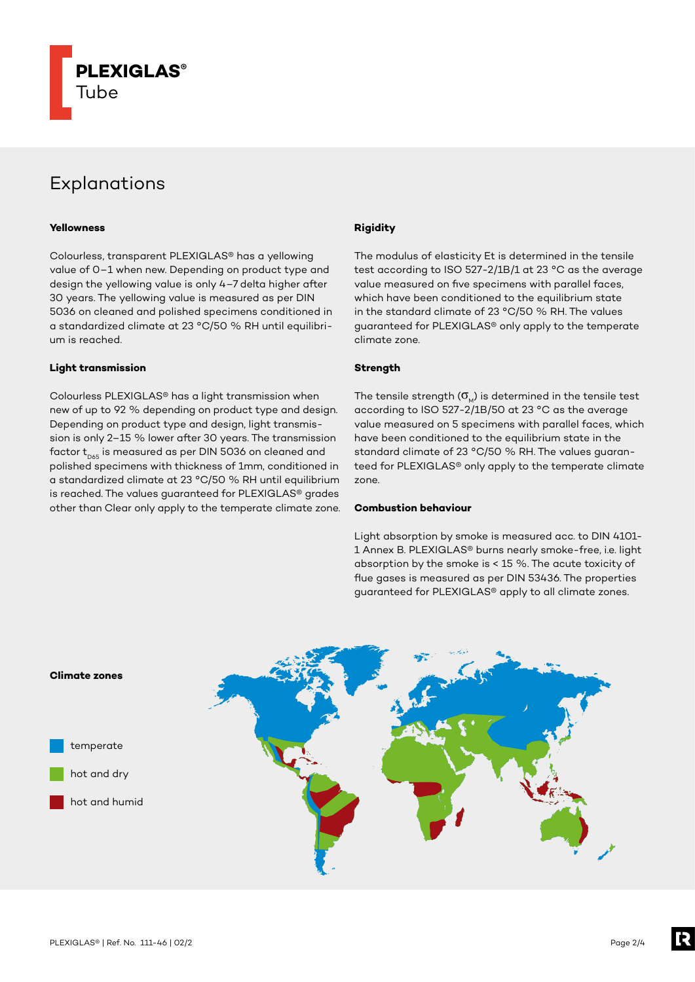

# Explanations

#### **Yellowness**

Colourless, transparent PLEXIGLAS® has a yellowing value of 0–1 when new. Depending on product type and design the yellowing value is only 4–7 delta higher after 30 years. The yellowing value is measured as per DIN 5036 on cleaned and polished specimens conditioned in a standardized climate at 23 °C/50 % RH until equilibrium is reached.

#### **Light transmission**

Colourless PLEXIGLAS® has a light transmission when new of up to 92 % depending on product type and design. Depending on product type and design, light transmission is only 2–15 % lower after 30 years. The transmission factor  $t_{\text{p65}}$  is measured as per DIN 5036 on cleaned and polished specimens with thickness of 1mm, conditioned in a standardized climate at 23 °C/50 % RH until equilibrium is reached. The values guaranteed for PLEXIGLAS® grades other than Clear only apply to the temperate climate zone.

## **Rigidity**

The modulus of elasticity Et is determined in the tensile test according to ISO 527-2/1B/1 at 23 °C as the average value measured on five specimens with parallel faces, which have been conditioned to the equilibrium state in the standard climate of 23 °C/50 % RH. The values guaranteed for PLEXIGLAS® only apply to the temperate climate zone.

## **Strength**

The tensile strength  $(\sigma_{\omega})$  is determined in the tensile test according to ISO 527-2/1B/50 at 23 °C as the average value measured on 5 specimens with parallel faces, which have been conditioned to the equilibrium state in the standard climate of 23 °C/50 % RH. The values guaranteed for PLEXIGLAS® only apply to the temperate climate zone.

#### **Combustion behaviour**

Light absorption by smoke is measured acc. to DIN 4101- 1 Annex B. PLEXIGLAS® burns nearly smoke-free, i.e. light absorption by the smoke is < 15 %. The acute toxicity of flue gases is measured as per DIN 53436. The properties guaranteed for PLEXIGLAS® apply to all climate zones.

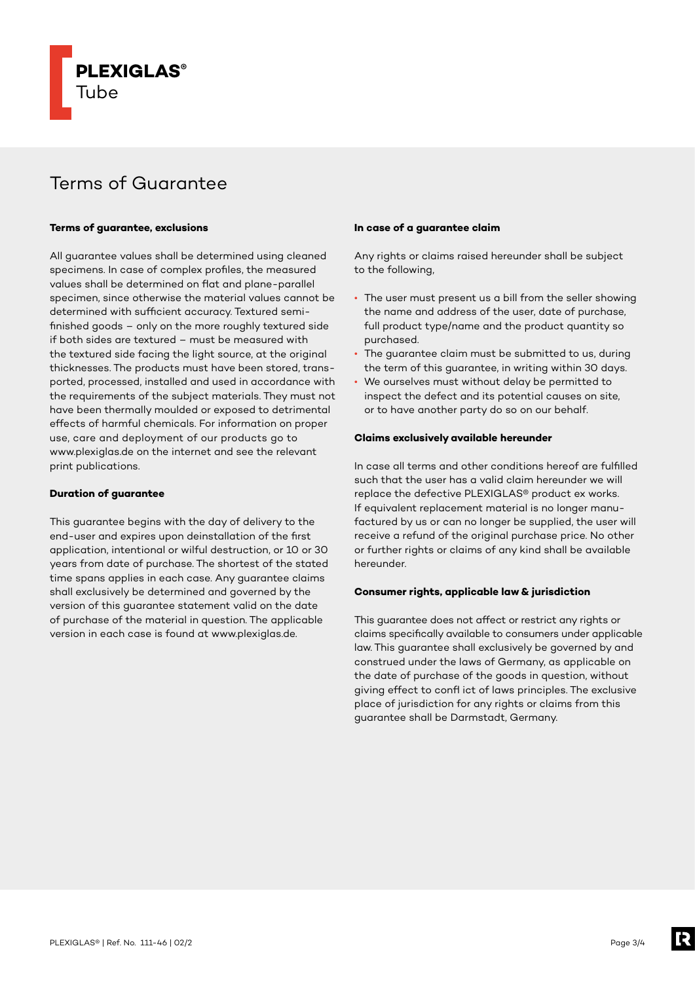

# Terms of Guarantee

#### **Terms of guarantee, exclusions**

All guarantee values shall be determined using cleaned specimens. In case of complex profiles, the measured values shall be determined on flat and plane-parallel specimen, since otherwise the material values cannot be determined with sufficient accuracy. Textured semifinished goods – only on the more roughly textured side if both sides are textured – must be measured with the textured side facing the light source, at the original thicknesses. The products must have been stored, transported, processed, installed and used in accordance with the requirements of the subject materials. They must not have been thermally moulded or exposed to detrimental effects of harmful chemicals. For information on proper use, care and deployment of our products go to www.plexiglas.de on the internet and see the relevant print publications.

#### **Duration of guarantee**

This guarantee begins with the day of delivery to the end-user and expires upon deinstallation of the first application, intentional or wilful destruction, or 10 or 30 years from date of purchase. The shortest of the stated time spans applies in each case. Any guarantee claims shall exclusively be determined and governed by the version of this guarantee statement valid on the date of purchase of the material in question. The applicable version in each case is found at www.plexiglas.de.

#### **In case of a guarantee claim**

Any rights or claims raised hereunder shall be subject to the following,

- The user must present us a bill from the seller showing the name and address of the user, date of purchase, full product type/name and the product quantity so purchased.
- The guarantee claim must be submitted to us, during the term of this guarantee, in writing within 30 days.
- We ourselves must without delay be permitted to inspect the defect and its potential causes on site, or to have another party do so on our behalf.

#### **Claims exclusively available hereunder**

In case all terms and other conditions hereof are fulfilled such that the user has a valid claim hereunder we will replace the defective PLEXIGLAS® product ex works. If equivalent replacement material is no longer manufactured by us or can no longer be supplied, the user will receive a refund of the original purchase price. No other or further rights or claims of any kind shall be available hereunder.

## **Consumer rights, applicable law & jurisdiction**

This guarantee does not affect or restrict any rights or claims specifically available to consumers under applicable law. This guarantee shall exclusively be governed by and construed under the laws of Germany, as applicable on the date of purchase of the goods in question, without giving effect to confl ict of laws principles. The exclusive place of jurisdiction for any rights or claims from this guarantee shall be Darmstadt, Germany.